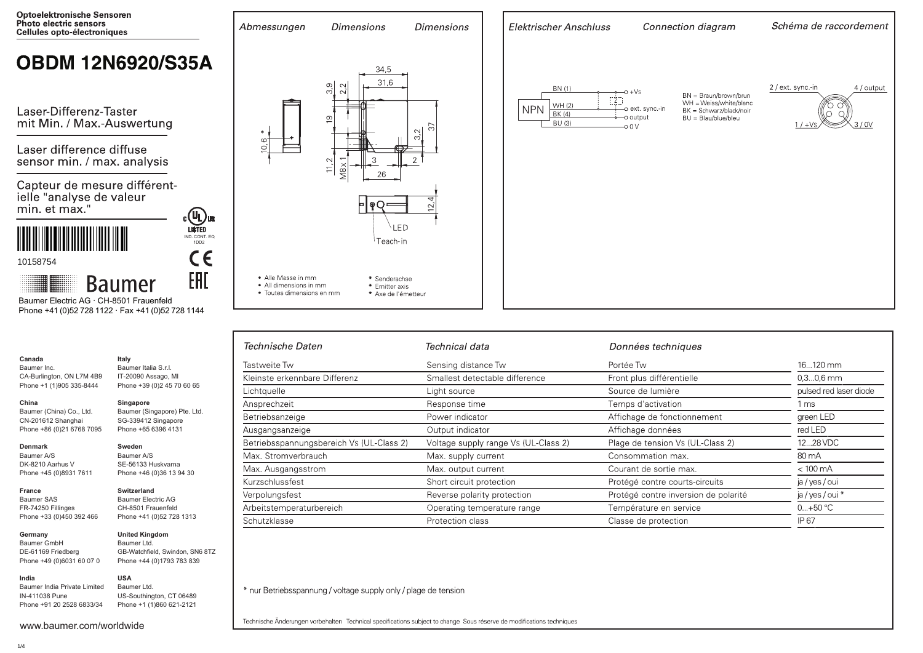

# **OBDM 12N6920/S35A**

Laser-Differenz-Taster mit Min. / Max.-Auswertung

Laser difference diffuse sensor min. / max. analysis

Capteur de mesure différentielle "analyse de valeur min. et max."





**Baumer** Baumer Electric AG · CH-8501 Frauenfeld Phone +41 (0)52 728 1122 · Fax +41 (0)52 728 1144

#### **Canada** Baumer Inc.

CA-Burlington, ON L7M 4B9 Phone +1 (1)905 335-8444

#### **China**

Baumer (China) Co., Ltd. CN-201612 Shanghai Phone +86 (0)21 6768 7095

#### **Denmark**

**France**

Baumer A/S DK-8210 Aarhus V Phone +45 (0)8931 7611

#### **Switzerland** Baumer Electric AG

Baumer SAS FR-74250 Fillinges Phone +33 (0)450 392 466

**Germany**  Baumer GmbH DE-61169 Friedberg Phone +49 (0)6031 60 07 0

Baumer India Private Limited IN-411038 Pune Phone +91 20 2528 6833/34

**Italy** Baumer Italia S.r.l. IT-20090 Assago, MI Phone +39 (0)2 45 70 60 65

### **Singapore**

Baumer (Singapore) Pte. Ltd. SG-339412 Singapore Phone +65 6396 4131

#### **Sweden**

Baumer A/S SE-56133 Huskvarna Phone +46 (0)36 13 94 30

CH-8501 Frauenfeld Phone +41 (0)52 728 1313

## **United Kingdom** Baumer Ltd.

GB-Watchfield, Swindon, SN6 8TZ Phone +44 (0)1793 783 839

#### **USA**

Baumer Ltd. US-Southington, CT 06489 Phone +1 (1)860 621-2121



**Dimensions** 

**Dimensions** 

Abmessungen

| Elektrischer Anschluss                                         | Connection diagram                                                                                                                                     | Schéma de raccordement                                       |  |
|----------------------------------------------------------------|--------------------------------------------------------------------------------------------------------------------------------------------------------|--------------------------------------------------------------|--|
| BN (1)<br>Z<br>WH (2)<br><b>NPN</b><br>BK (4)<br><b>BU (3)</b> | $O + VS$<br>BN = Braun/brown/brun<br>WH = Weiss/white/blanc<br>o ext. sync.-in<br>BK = Schwarz/black/noir<br>o output<br>BU = Blau/blue/bleu<br>$-00V$ | 2 / ext. sync.-in<br>4 / output<br>3/0V<br>$1/$ + $\sqrt{s}$ |  |
|                                                                |                                                                                                                                                        |                                                              |  |

| Technische Daten                         | Technical data                       | Données techniques                   |                        |
|------------------------------------------|--------------------------------------|--------------------------------------|------------------------|
| Tastweite Tw                             | Sensing distance Tw                  | Portée Tw                            | 16120 mm               |
| Kleinste erkennbare Differenz            | Smallest detectable difference       | Front plus différentielle            | $0.30.6$ mm            |
| Lichtquelle                              | Light source                         | Source de lumière                    | pulsed red laser diode |
| Ansprechzeit                             | Response time                        | Temps d'activation                   | 1 ms                   |
| Betriebsanzeige                          | Power indicator                      | Affichage de fonctionnement          | green LED              |
| Ausgangsanzeige                          | Output indicator                     | Affichage données                    | red LED                |
| Betriebsspannungsbereich Vs (UL-Class 2) | Voltage supply range Vs (UL-Class 2) | Plage de tension Vs (UL-Class 2)     | 1228 VDC               |
| Max. Stromverbrauch                      | Max. supply current                  | Consommation max.                    | 80 mA                  |
| Max. Ausgangsstrom                       | Max. output current                  | Courant de sortie max.               | $< 100 \text{ mA}$     |
| Kurzschlussfest                          | Short circuit protection             | Protégé contre courts-circuits       | ja / yes / oui         |
| Verpolungsfest                           | Reverse polarity protection          | Protégé contre inversion de polarité | ja / yes / oui *       |
| Arbeitstemperaturbereich                 | Operating temperature range          | Température en service               | $0+50 °C$              |
| Schutzklasse                             | Protection class                     | Classe de protection                 | IP 67                  |

\* nur Betriebsspannung / voltage supply only / plage de tension

Technische Änderungen vorbehalten Technical specifications subject to change Sous réserve de modifications techniques

**India**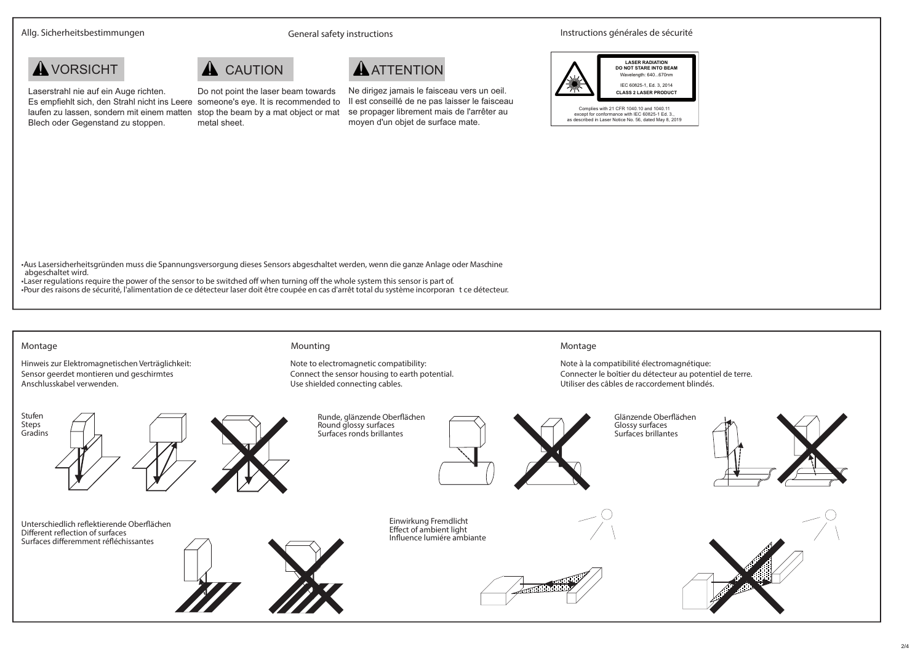Allg. Sicherheitsbestimmungen **States and Schwaren General safety instructions** Instructions générales de sécurité





Laserstrahl nie auf ein Auge richten. Es empfiehlt sich, den Strahl nicht ins Leere someone's eye. It is recommended to laufen zu lassen, sondern mit einem matten stop the beam by a mat object or mat Blech oder Gegenstand zu stoppen. Do not point the laser beam towards metal sheet.

Ne dirigez jamais le faisceau vers un oeil. Il est conseillé de ne pas laisser le faisceau se propager librement mais de l'arrêter au moyen d'un objet de surface mate.



•Aus Lasersicherheitsgründen muss die Spannungsversorgung dieses Sensors abgeschaltet werden, wenn die ganze Anlage oder Maschine abgeschaltet wird.

•Laser regulations require the power of the sensor to be switched off when turning off the whole system this sensor is part of. •Pour des raisons de sécurité, l'alimentation de ce détecteur laser doit être coupée en cas d'arrêt total du système incorporan t ce détecteur.

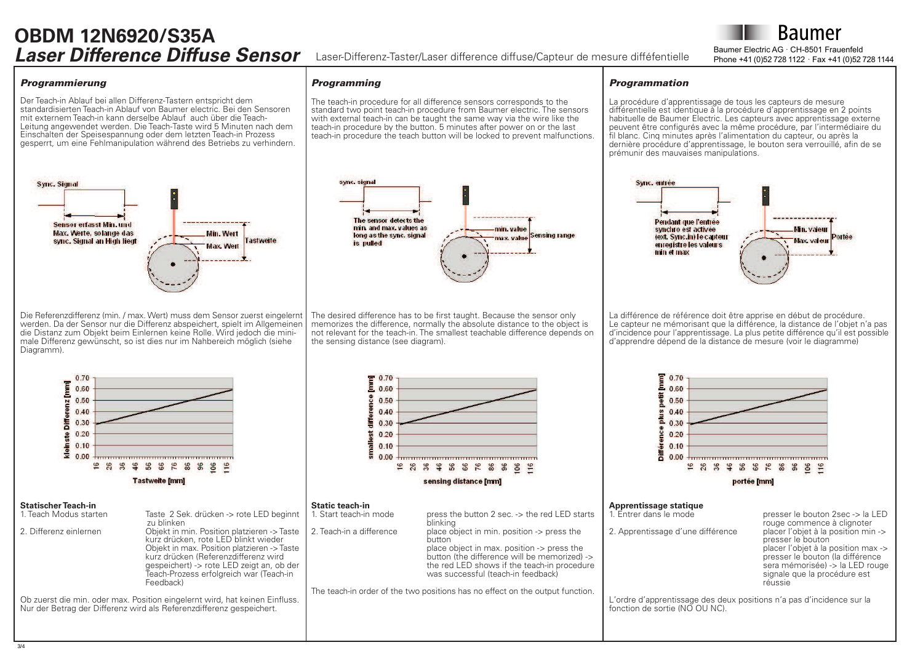## **OBDM 12N6920/S35A Laser Difference Diffuse Sensor** Laser-Differenz-Taster/Laser difference diffuse/Capteur de mesure difféfentielle Phone +41 (0)52 728 1122 · Fax +41 (0)52 728 1144

Baumer Electric AG · CH-8501 Frauenfeld

**Baumer** 

#### *Programmierung*

Der Teach-in Ablauf bei allen Differenz-Tastern entspricht dem standardisierten Teach-in Ablauf von Baumer electric. Bei den Sensoren mit externem Teach-in kann derselbe Ablauf auch über die Teach-Leitung angewendet werden. Die Teach-Taste wird 5 Minuten nach dem Einschalten der Speisespannung oder dem letzten Teach-in Prozess gesperrt, um eine Fehlmanipulation während des Betriebs zu verhindern.



Die Referenzdifferenz (min. / max. Wert) muss dem Sensor zuerst eingelernt werden. Da der Sensor nur die Differenz abspeichert, spielt im Allgemeinen die Distanz zum Objekt beim Einlernen keine Rolle. Wird jedoch die minimale Differenz gewünscht, so ist dies nur im Nahbereich möglich (siehe Diagramm).



The teach-in procedure for all difference sensors corresponds to the standard two point teach-in procedure from Baumer electric. The sensors with external teach-in can be taught the same way via the wire like the teach-in procedure by the button. 5 minutes after power on or the last teach-in procedure the teach button will be locked to prevent malfunctions.

*Programming*

The desired difference has to be first taught. Because the sensor only memorizes the difference, normally the absolute distance to the object is not relevant for the teach-in. The smallest teachable difference depends on the sensing distance (see diagram).

#### *Programmation*

La procédure d'apprentissage de tous les capteurs de mesure différentielle est identique à la procédure d'apprentissage en 2 points habituelle de Baumer Electric. Les capteurs avec apprentissage externe peuvent être configurés avec la même procédure, par l'intermédiaire du fil blanc. Cinq minutes après l'alimentation du capteur, ou après la dernière procédure d'apprentissage, le bouton sera verrouillé, afin de se prémunir des mauvaises manipulations.



La différence de référence doit être apprise en début de procédure. Le capteur ne mémorisant que la différence, la distance de l'objet n'a pas dincidence pour lapprentissage. La plus petite différence quil est possible d'apprendre dépend de la distance de mesure (voir le diagramme)



2. Differenz einlernen Objekt in min. Position platzieren -> Taste kurz drücken, rote LED blinkt wieder Objekt in max. Position platzieren -> Taste kurz drücken (Referenzdifferenz wird gespeichert) -> rote LED zeigt an, ob der Teach-Prozess erfolgreich war (Teach-in Feedback)

Ob zuerst die min. oder max. Position eingelernt wird, hat keinen Einfluss. Nur der Betrag der Differenz wird als Referenzdifferenz gespeichert.